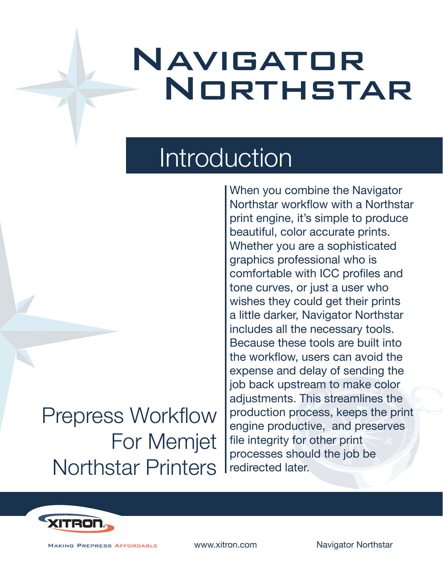## Navigator NORTHSTAR

### Introduction

### Prepress Workflow For Memjet Northstar Printers

When you combine the Navigator Northstar workflow with a Northstar print engine, it's simple to produce beautiful, color accurate prints. Whether you are a sophisticated graphics professional who is comfortable with ICC profiles and tone curves, or just a user who wishes they could get their prints a little darker, Navigator Northstar includes all the necessary tools. Because these tools are built into the workflow, users can avoid the expense and delay of sending the job back upstream to make color adjustments. This streamlines the production process, keeps the print engine productive, and preserves file integrity for other print processes should the job be redirected later.



**MAKING PREPRESS AFFORDABLE** 

www.xitron.com Navigator Northstar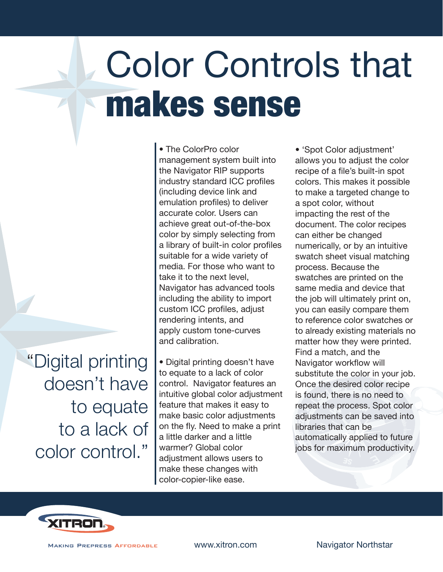# Color Controls that makes sense

"Digital printing doesn't have to equate to a lack of color control."

• The ColorPro color management system built into the Navigator RIP supports industry standard ICC profiles (including device link and emulation profiles) to deliver accurate color. Users can achieve great out-of-the-box color by simply selecting from a library of built-in color profiles suitable for a wide variety of media. For those who want to take it to the next level, Navigator has advanced tools including the ability to import custom ICC profiles, adjust rendering intents, and apply custom tone-curves and calibration.

• Digital printing doesn't have to equate to a lack of color control. Navigator features an intuitive global color adjustment feature that makes it easy to make basic color adjustments on the fly. Need to make a print a little darker and a little warmer? Global color adjustment allows users to make these changes with color-copier-like ease.

• 'Spot Color adjustment' allows you to adjust the color recipe of a file's built-in spot colors. This makes it possible to make a targeted change to a spot color, without impacting the rest of the document. The color recipes can either be changed numerically, or by an intuitive swatch sheet visual matching process. Because the swatches are printed on the same media and device that the job will ultimately print on, you can easily compare them to reference color swatches or to already existing materials no matter how they were printed. Find a match, and the Navigator workflow will substitute the color in your job. Once the desired color recipe is found, there is no need to repeat the process. Spot color adjustments can be saved into libraries that can be automatically applied to future jobs for maximum productivity.



**MAKING PREPRESS AFFORDABLE**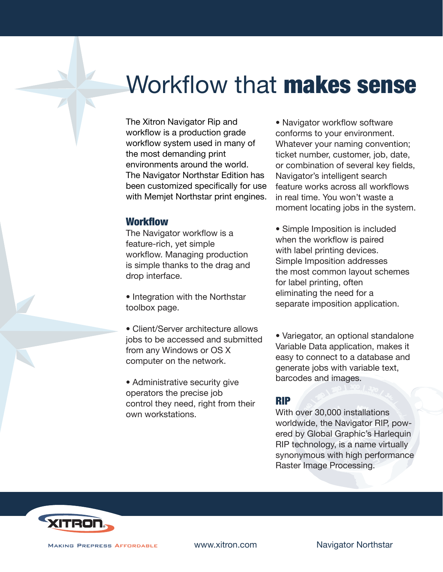### Workflow that **makes sense**

The Xitron Navigator Rip and workflow is a production grade workflow system used in many of the most demanding print environments around the world. The Navigator Northstar Edition has been customized specifically for use with Memjet Northstar print engines.

#### **Workflow**

The Navigator workflow is a feature-rich, yet simple workflow. Managing production is simple thanks to the drag and drop interface.

• Integration with the Northstar toolbox page.

• Client/Server architecture allows jobs to be accessed and submitted from any Windows or OS X computer on the network.

• Administrative security give operators the precise job control they need, right from their own workstations.

• Navigator workflow software conforms to your environment. Whatever your naming convention; ticket number, customer, job, date, or combination of several key fields, Navigator's intelligent search feature works across all workflows in real time. You won't waste a moment locating jobs in the system.

• Simple Imposition is included when the workflow is paired with label printing devices. Simple Imposition addresses the most common layout schemes for label printing, often eliminating the need for a separate imposition application.

• Variegator, an optional standalone Variable Data application, makes it easy to connect to a database and generate jobs with variable text, barcodes and images.

#### RIP

With over 30,000 installations worldwide, the Navigator RIP, powered by Global Graphic's Harlequin RIP technology, is a name virtually synonymous with high performance Raster Image Processing.



**MAKING PREPRESS AFFORDABLE** 

www.xitron.com Navigator Northstar